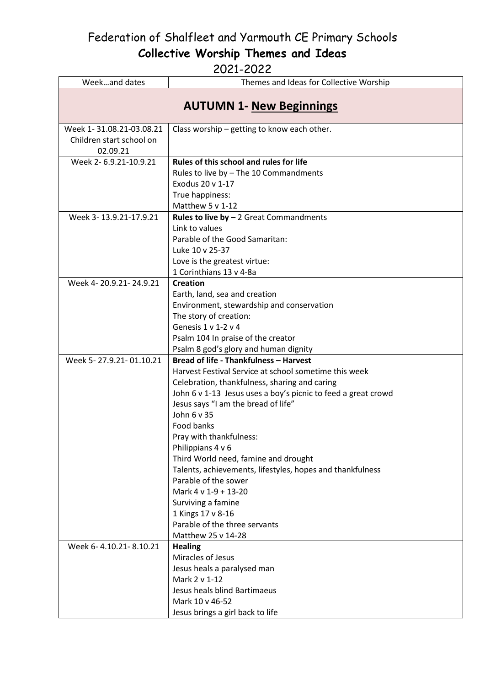Federation of Shalfleet and Yarmouth CE Primary Schools

**Collective Worship Themes and Ideas**

| Weekand dates                                                    | Themes and Ideas for Collective Worship                                           |
|------------------------------------------------------------------|-----------------------------------------------------------------------------------|
| <b>AUTUMN 1- New Beginnings</b>                                  |                                                                                   |
| Week 1-31.08.21-03.08.21<br>Children start school on<br>02.09.21 | Class worship - getting to know each other.                                       |
| Week 2-6.9.21-10.9.21                                            | Rules of this school and rules for life                                           |
|                                                                  | Rules to live by - The 10 Commandments                                            |
|                                                                  | Exodus 20 v 1-17                                                                  |
|                                                                  | True happiness:                                                                   |
|                                                                  | Matthew 5 v 1-12                                                                  |
| Week 3-13.9.21-17.9.21                                           | <b>Rules to live by - 2 Great Commandments</b>                                    |
|                                                                  | Link to values                                                                    |
|                                                                  | Parable of the Good Samaritan:                                                    |
|                                                                  | Luke 10 v 25-37                                                                   |
|                                                                  | Love is the greatest virtue:                                                      |
|                                                                  | 1 Corinthians 13 v 4-8a                                                           |
| Week 4-20.9.21-24.9.21                                           | <b>Creation</b>                                                                   |
|                                                                  | Earth, land, sea and creation                                                     |
|                                                                  | Environment, stewardship and conservation                                         |
|                                                                  | The story of creation:                                                            |
|                                                                  | Genesis $1 v 1-2 v 4$                                                             |
|                                                                  | Psalm 104 In praise of the creator                                                |
|                                                                  | Psalm 8 god's glory and human dignity                                             |
| Week 5-27.9.21-01.10.21                                          | Bread of life - Thankfulness - Harvest                                            |
|                                                                  | Harvest Festival Service at school sometime this week                             |
|                                                                  | Celebration, thankfulness, sharing and caring                                     |
|                                                                  | John 6 v 1-13 Jesus uses a boy's picnic to feed a great crowd                     |
|                                                                  | Jesus says "I am the bread of life"                                               |
|                                                                  | John 6 v 35                                                                       |
|                                                                  | Food banks                                                                        |
|                                                                  | Pray with thankfulness:                                                           |
|                                                                  | Philippians 4 v 6                                                                 |
|                                                                  | Third World need, famine and drought                                              |
|                                                                  | Talents, achievements, lifestyles, hopes and thankfulness<br>Parable of the sower |
|                                                                  | Mark 4 v 1-9 + 13-20                                                              |
|                                                                  |                                                                                   |
|                                                                  | Surviving a famine<br>1 Kings 17 v 8-16                                           |
|                                                                  | Parable of the three servants                                                     |
|                                                                  | Matthew 25 v 14-28                                                                |
| Week 6-4.10.21-8.10.21                                           | <b>Healing</b>                                                                    |
|                                                                  | Miracles of Jesus                                                                 |
|                                                                  | Jesus heals a paralysed man                                                       |
|                                                                  | Mark 2 v 1-12                                                                     |
|                                                                  | Jesus heals blind Bartimaeus                                                      |
|                                                                  | Mark 10 v 46-52                                                                   |
|                                                                  | Jesus brings a girl back to life                                                  |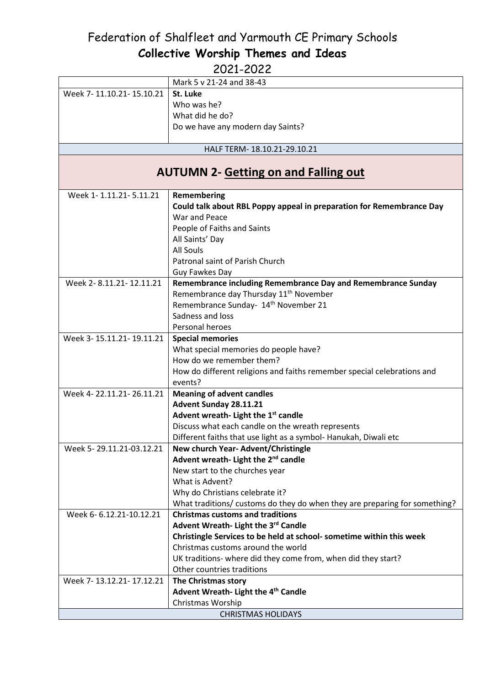|                           | Mark 5 v 21-24 and 38-43                                                   |  |
|---------------------------|----------------------------------------------------------------------------|--|
| Week 7-11.10.21-15.10.21  | St. Luke                                                                   |  |
|                           | Who was he?                                                                |  |
|                           | What did he do?                                                            |  |
|                           | Do we have any modern day Saints?                                          |  |
|                           |                                                                            |  |
|                           | HALF TERM-18.10.21-29.10.21                                                |  |
|                           |                                                                            |  |
|                           | <b>AUTUMN 2- Getting on and Falling out</b>                                |  |
|                           |                                                                            |  |
| Week 1-1.11.21-5.11.21    | Remembering                                                                |  |
|                           | Could talk about RBL Poppy appeal in preparation for Remembrance Day       |  |
|                           | War and Peace                                                              |  |
|                           | People of Faiths and Saints                                                |  |
|                           | All Saints' Day                                                            |  |
|                           | All Souls                                                                  |  |
|                           | Patronal saint of Parish Church                                            |  |
|                           | Guy Fawkes Day                                                             |  |
| Week 2-8.11.21-12.11.21   | Remembrance including Remembrance Day and Remembrance Sunday               |  |
|                           | Remembrance day Thursday 11 <sup>th</sup> November                         |  |
|                           | Remembrance Sunday- 14 <sup>th</sup> November 21                           |  |
|                           | Sadness and loss                                                           |  |
|                           | Personal heroes                                                            |  |
| Week 3-15.11.21-19.11.21  | <b>Special memories</b>                                                    |  |
|                           | What special memories do people have?                                      |  |
|                           | How do we remember them?                                                   |  |
|                           | How do different religions and faiths remember special celebrations and    |  |
|                           | events?                                                                    |  |
| Week 4-22.11.21-26.11.21  | <b>Meaning of advent candles</b>                                           |  |
|                           | Advent Sunday 28.11.21                                                     |  |
|                           | Advent wreath- Light the 1st candle                                        |  |
|                           | Discuss what each candle on the wreath represents                          |  |
|                           | Different faiths that use light as a symbol- Hanukah, Diwali etc           |  |
| Week 5-29.11.21-03.12.21  | New church Year-Advent/Christingle                                         |  |
|                           | Advent wreath- Light the 2 <sup>nd</sup> candle                            |  |
|                           | New start to the churches year                                             |  |
|                           | What is Advent?                                                            |  |
|                           | Why do Christians celebrate it?                                            |  |
|                           | What traditions/ customs do they do when they are preparing for something? |  |
| Week 6-6.12.21-10.12.21   | <b>Christmas customs and traditions</b>                                    |  |
|                           | Advent Wreath- Light the 3rd Candle                                        |  |
|                           | Christingle Services to be held at school- sometime within this week       |  |
|                           | Christmas customs around the world                                         |  |
|                           | UK traditions- where did they come from, when did they start?              |  |
|                           | Other countries traditions                                                 |  |
| Week 7-13.12.21-17.12.21  | The Christmas story                                                        |  |
|                           | Advent Wreath- Light the 4 <sup>th</sup> Candle                            |  |
|                           | Christmas Worship                                                          |  |
| <b>CHRISTMAS HOLIDAYS</b> |                                                                            |  |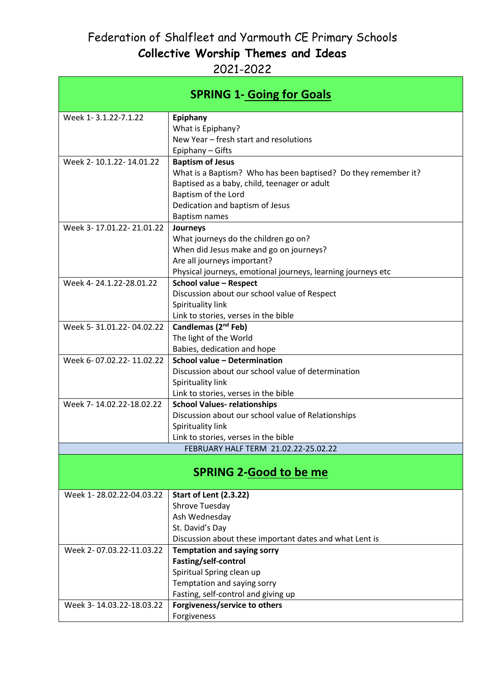| <b>SPRING 1- Going for Goals</b> |                                                                      |  |
|----------------------------------|----------------------------------------------------------------------|--|
| Week 1-3.1.22-7.1.22             | Epiphany                                                             |  |
|                                  | What is Epiphany?                                                    |  |
|                                  | New Year - fresh start and resolutions                               |  |
|                                  | Epiphany - Gifts                                                     |  |
| Week 2-10.1.22-14.01.22          | <b>Baptism of Jesus</b>                                              |  |
|                                  | What is a Baptism? Who has been baptised? Do they remember it?       |  |
|                                  | Baptised as a baby, child, teenager or adult                         |  |
|                                  | Baptism of the Lord                                                  |  |
|                                  | Dedication and baptism of Jesus                                      |  |
| Week 3-17.01.22-21.01.22         | <b>Baptism names</b>                                                 |  |
|                                  | Journeys<br>What journeys do the children go on?                     |  |
|                                  | When did Jesus make and go on journeys?                              |  |
|                                  | Are all journeys important?                                          |  |
|                                  | Physical journeys, emotional journeys, learning journeys etc         |  |
| Week 4-24.1.22-28.01.22          | School value - Respect                                               |  |
|                                  | Discussion about our school value of Respect                         |  |
|                                  | Spirituality link                                                    |  |
|                                  | Link to stories, verses in the bible                                 |  |
| Week 5-31.01.22-04.02.22         | Candlemas (2 <sup>nd</sup> Feb)                                      |  |
|                                  | The light of the World                                               |  |
|                                  | Babies, dedication and hope                                          |  |
| Week 6-07.02.22-11.02.22         | School value - Determination                                         |  |
|                                  | Discussion about our school value of determination                   |  |
|                                  | Spirituality link                                                    |  |
|                                  | Link to stories, verses in the bible                                 |  |
| Week 7-14.02.22-18.02.22         | <b>School Values- relationships</b>                                  |  |
|                                  | Discussion about our school value of Relationships                   |  |
|                                  | Spirituality link<br>Link to stories, verses in the bible            |  |
|                                  | FEBRUARY HALF TERM 21.02.22-25.02.22                                 |  |
|                                  |                                                                      |  |
| <b>SPRING 2-Good to be me</b>    |                                                                      |  |
| Week 1-28.02.22-04.03.22         | <b>Start of Lent (2.3.22)</b>                                        |  |
|                                  | Shrove Tuesday                                                       |  |
|                                  | Ash Wednesday                                                        |  |
|                                  | St. David's Day                                                      |  |
|                                  | Discussion about these important dates and what Lent is              |  |
| Week 2-07.03.22-11.03.22         | <b>Temptation and saying sorry</b>                                   |  |
|                                  | Fasting/self-control                                                 |  |
|                                  | Spiritual Spring clean up                                            |  |
|                                  | Temptation and saying sorry                                          |  |
| Week 3-14.03.22-18.03.22         | Fasting, self-control and giving up<br>Forgiveness/service to others |  |
|                                  | Forgiveness                                                          |  |
|                                  |                                                                      |  |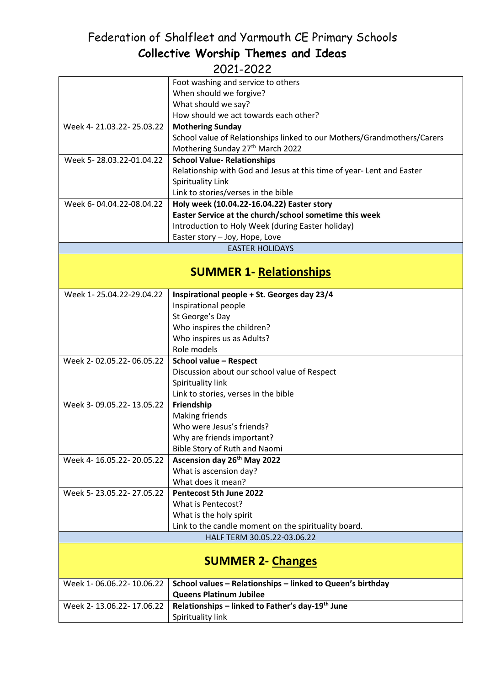|                          | Foot washing and service to others                                      |  |
|--------------------------|-------------------------------------------------------------------------|--|
|                          | When should we forgive?                                                 |  |
|                          | What should we say?                                                     |  |
|                          | How should we act towards each other?                                   |  |
| Week 4-21.03.22-25.03.22 | <b>Mothering Sunday</b>                                                 |  |
|                          | School value of Relationships linked to our Mothers/Grandmothers/Carers |  |
|                          | Mothering Sunday 27th March 2022                                        |  |
| Week 5-28.03.22-01.04.22 | <b>School Value- Relationships</b>                                      |  |
|                          | Relationship with God and Jesus at this time of year- Lent and Easter   |  |
|                          | Spirituality Link                                                       |  |
|                          | Link to stories/verses in the bible                                     |  |
| Week 6-04.04.22-08.04.22 | Holy week (10.04.22-16.04.22) Easter story                              |  |
|                          | Easter Service at the church/school sometime this week                  |  |
|                          |                                                                         |  |
|                          | Introduction to Holy Week (during Easter holiday)                       |  |
|                          | Easter story - Joy, Hope, Love<br><b>EASTER HOLIDAYS</b>                |  |
|                          |                                                                         |  |
|                          | <b>SUMMER 1- Relationships</b>                                          |  |
|                          |                                                                         |  |
| Week 1-25.04.22-29.04.22 | Inspirational people + St. Georges day 23/4                             |  |
|                          | Inspirational people                                                    |  |
|                          | St George's Day                                                         |  |
|                          | Who inspires the children?                                              |  |
|                          | Who inspires us as Adults?                                              |  |
|                          | Role models                                                             |  |
| Week 2-02.05.22-06.05.22 | School value - Respect                                                  |  |
|                          | Discussion about our school value of Respect                            |  |
|                          | Spirituality link                                                       |  |
|                          | Link to stories, verses in the bible                                    |  |
| Week 3-09.05.22-13.05.22 | Friendship                                                              |  |
|                          | <b>Making friends</b>                                                   |  |
|                          | Who were Jesus's friends?                                               |  |
|                          | Why are friends important?                                              |  |
|                          | Bible Story of Ruth and Naomi                                           |  |
| Week 4-16.05.22-20.05.22 | Ascension day 26 <sup>th</sup> May 2022                                 |  |
|                          | What is ascension day?                                                  |  |
|                          | What does it mean?                                                      |  |
| Week 5-23.05.22-27.05.22 | Pentecost 5th June 2022                                                 |  |
|                          | What is Pentecost?                                                      |  |
|                          | What is the holy spirit                                                 |  |
|                          | Link to the candle moment on the spirituality board.                    |  |
|                          | HALF TERM 30.05.22-03.06.22                                             |  |
|                          |                                                                         |  |
| <b>SUMMER 2- Changes</b> |                                                                         |  |
| Week 1-06.06.22-10.06.22 | School values - Relationships - linked to Queen's birthday              |  |
|                          | <b>Queens Platinum Jubilee</b>                                          |  |
| Week 2-13.06.22-17.06.22 | Relationships - linked to Father's day-19 <sup>th</sup> June            |  |
|                          | Spirituality link                                                       |  |